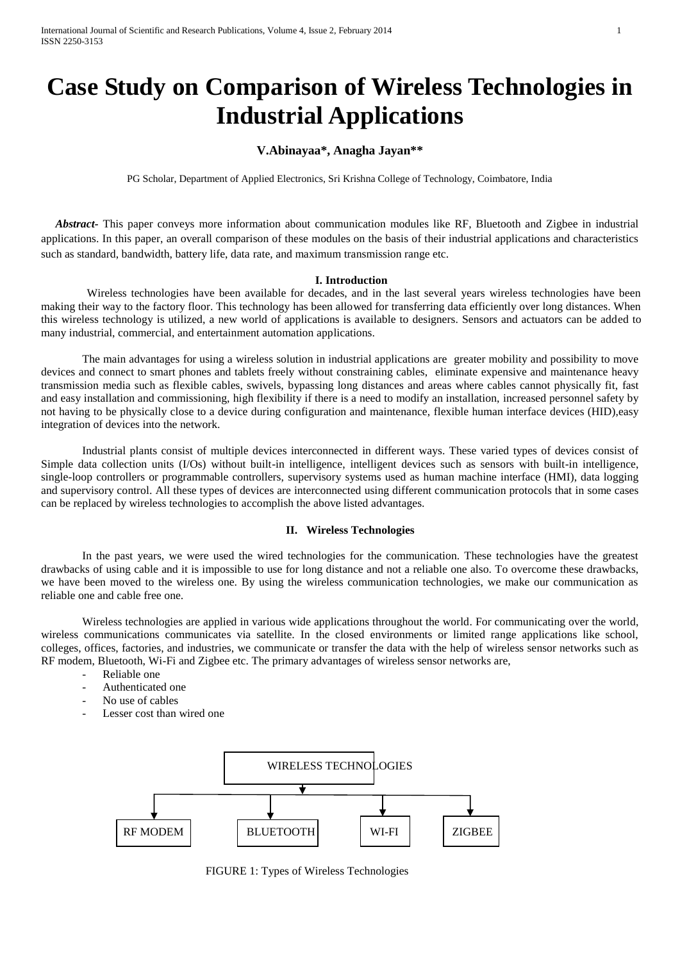# **Case Study on Comparison of Wireless Technologies in Industrial Applications**

## **V.Abinayaa\*, Anagha Jayan\*\***

PG Scholar, Department of Applied Electronics, Sri Krishna College of Technology, Coimbatore, India

 *Abstract-* This paper conveys more information about communication modules like RF, Bluetooth and Zigbee in industrial applications. In this paper, an overall comparison of these modules on the basis of their industrial applications and characteristics such as standard, bandwidth, battery life, data rate, and maximum transmission range etc.

#### **I. Introduction**

Wireless technologies have been available for decades, and in the last several years wireless technologies have been making their way to the factory floor. This technology has been allowed for transferring data efficiently over long distances. When this wireless technology is utilized, a new world of applications is available to designers. Sensors and actuators can be added to many industrial, commercial, and entertainment automation applications.

The main advantages for using a wireless solution in industrial applications are greater mobility and possibility to move devices and connect to smart phones and tablets freely without constraining cables, eliminate expensive and maintenance heavy transmission media such as flexible cables, swivels, bypassing long distances and areas where cables cannot physically fit, fast and easy installation and commissioning, high flexibility if there is a need to modify an installation, increased personnel safety by not having to be physically close to a device during configuration and maintenance, flexible human interface devices (HID),easy integration of devices into the network.

Industrial plants consist of multiple devices interconnected in different ways. These varied types of devices consist of Simple data collection units (I/Os) without built-in intelligence, intelligent devices such as sensors with built-in intelligence, single-loop controllers or programmable controllers, supervisory systems used as human machine interface (HMI), data logging and supervisory control. All these types of devices are interconnected using different communication protocols that in some cases can be replaced by wireless technologies to accomplish the above listed advantages.

## **II. Wireless Technologies**

In the past years, we were used the wired technologies for the communication. These technologies have the greatest drawbacks of using cable and it is impossible to use for long distance and not a reliable one also. To overcome these drawbacks, we have been moved to the wireless one. By using the wireless communication technologies, we make our communication as reliable one and cable free one.

Wireless technologies are applied in various wide applications throughout the world. For communicating over the world, wireless communications communicates via satellite. In the closed environments or limited range applications like school, colleges, offices, factories, and industries, we communicate or transfer the data with the help of wireless sensor networks such as RF modem, Bluetooth, Wi-Fi and Zigbee etc. The primary advantages of wireless sensor networks are,

- Reliable one
- Authenticated one
- No use of cables
- Lesser cost than wired one



FIGURE 1: Types of Wireless Technologies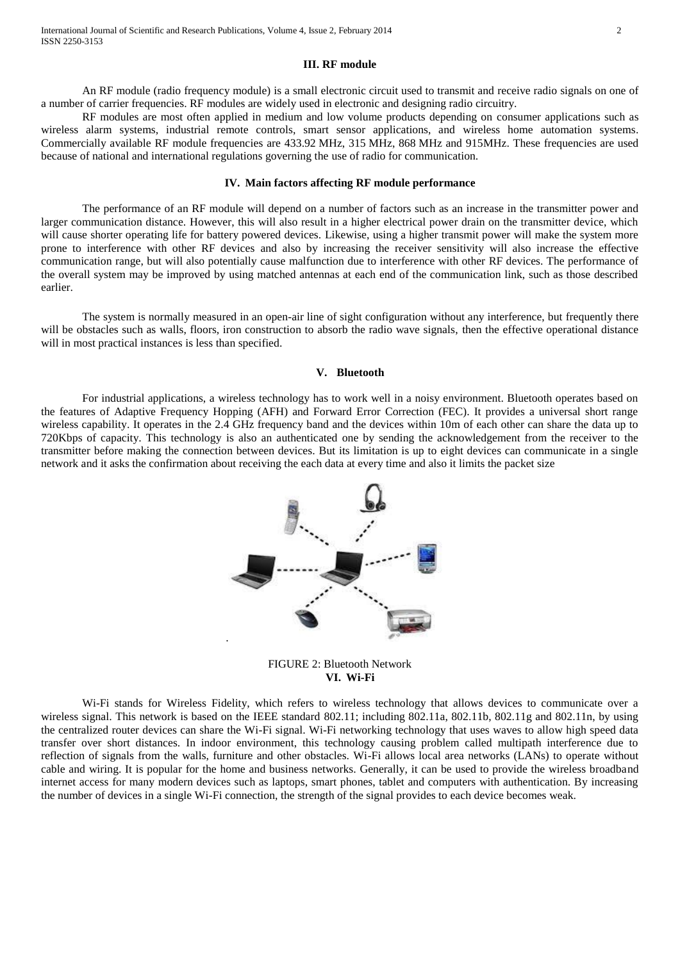#### **III. RF module**

An RF module (radio frequency module) is a small electronic circuit used to transmit and receive radio signals on one of a number of carrier frequencies. RF modules are widely used in electronic and designing radio circuitry.

RF modules are most often applied in medium and low volume products depending on consumer applications such as wireless alarm systems, [industrial remote controls,](http://en.wikipedia.org/wiki/Remote_controls) smart sensor applications, and [wireless home automation systems.](http://en.wikipedia.org/wiki/Home_automation) Commercially available RF module frequencies are 433.92 MHz, 315 MHz, 868 MHz and 915MHz. These frequencies are used because of national and international regulations governing the use of radio for communication.

### **IV. Main factors affecting RF module performance**

The performance of an RF module will depend on a number of factors such as an increase in the transmitter power and larger communication distance. However, this will also result in a higher electrical power drain on the transmitter device, which will cause shorter operating life for battery powered devices. Likewise, using a higher transmit power will make the system more prone to interference with other RF devices and also by increasing the receiver sensitivity will also increase the effective communication range, but will also potentially cause malfunction due to interference with other RF devices. The performance of the overall system may be improved by using matched antennas at each end of the communication link, such as those described earlier.

The system is normally measured in an open-air line of sight configuration without any interference, but frequently there will be obstacles such as walls, floors, iron construction to absorb the radio wave signals, then the effective operational distance will in most practical instances is less than specified.

#### **V. Bluetooth**

For industrial applications, a wireless technology has to work well in a noisy environment. Bluetooth operates based on the features of Adaptive Frequency Hopping (AFH) and Forward Error Correction (FEC). It provides a universal short range wireless capability. It operates in the 2.4 GHz frequency band and the devices within 10m of each other can share the data up to 720Kbps of capacity. This technology is also an authenticated one by sending the acknowledgement from the receiver to the transmitter before making the connection between devices. But its limitation is up to eight devices can communicate in a single network and it asks the confirmation about receiving the each data at every time and also it limits the packet size



FIGURE 2: Bluetooth Network **VI. Wi-Fi**

Wi-Fi stands for Wireless Fidelity, which refers to wireless technology that allows devices to communicate over a wireless signal. This network is based on the IEEE standard 802.11; including 802.11a, 802.11b, 802.11g and 802.11n, by using the centralized router devices can share the Wi-Fi signal. Wi-Fi networking technology that uses waves to allow high speed data transfer over short distances. In indoor environment, this technology causing problem called multipath interference due to reflection of signals from the walls, furniture and other obstacles. Wi-Fi allows local area networks (LANs) to operate without cable and wiring. It is popular for the home and business networks. Generally, it can be used to provide the wireless broadband internet access for many modern devices such as laptops, smart phones, tablet and computers with authentication. By increasing the number of devices in a single Wi-Fi connection, the strength of the signal provides to each device becomes weak.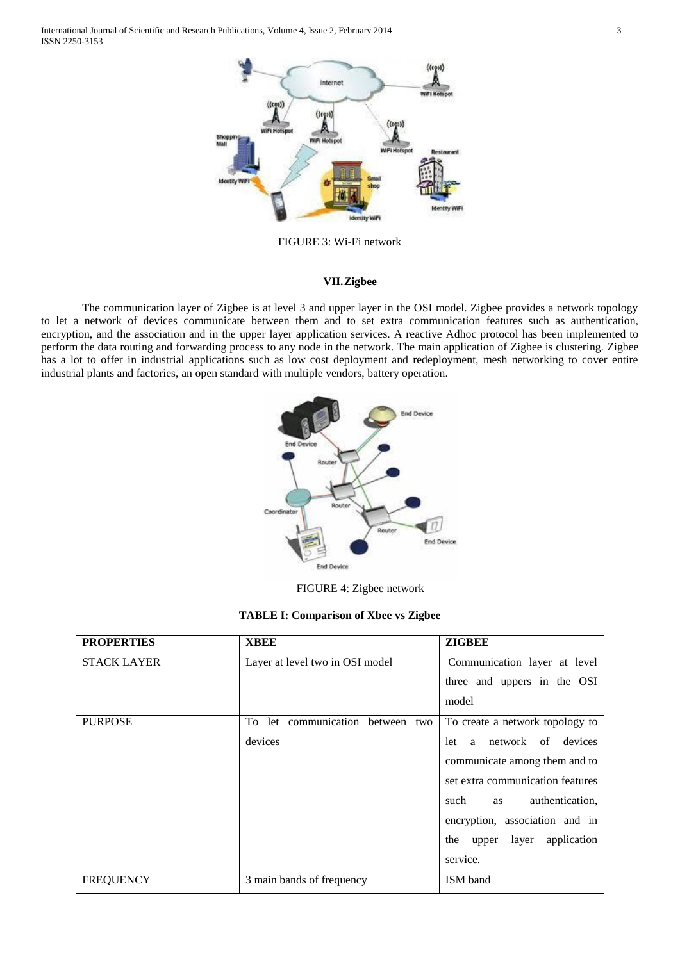International Journal of Scientific and Research Publications, Volume 4, Issue 2, February 2014 3 ISSN 2250-3153



FIGURE 3: Wi-Fi network

## **VII.Zigbee**

The communication layer of Zigbee is at level 3 and upper layer in the OSI model. Zigbee provides a network topology to let a network of devices communicate between them and to set extra communication features such as authentication, encryption, and the association and in the upper layer application services. A reactive Adhoc protocol has been implemented to perform the data routing and forwarding process to any node in the network. The main application of Zigbee is clustering. Zigbee has a lot to offer in industrial applications such as low cost deployment and redeployment, mesh networking to cover entire industrial plants and factories, an open standard with multiple vendors, battery operation.



FIGURE 4: Zigbee network

| <b>TABLE I: Comparison of Xbee vs Zigbee</b> |  |  |  |  |  |  |  |  |  |  |  |  |
|----------------------------------------------|--|--|--|--|--|--|--|--|--|--|--|--|
|----------------------------------------------|--|--|--|--|--|--|--|--|--|--|--|--|

| <b>PROPERTIES</b>  | <b>XBEE</b>                      | <b>ZIGBEE</b>                        |
|--------------------|----------------------------------|--------------------------------------|
| <b>STACK LAYER</b> | Layer at level two in OSI model  | Communication layer at level         |
|                    |                                  | three and uppers in the OSI          |
|                    |                                  | model                                |
| <b>PURPOSE</b>     | To let communication between two | To create a network topology to      |
|                    | devices                          | network of devices<br>let<br>a       |
|                    |                                  | communicate among them and to        |
|                    |                                  | set extra communication features     |
|                    |                                  | authentication,<br>such<br>as        |
|                    |                                  | encryption, association and in       |
|                    |                                  | application<br>layer<br>the<br>upper |
|                    |                                  | service.                             |
| <b>FREQUENCY</b>   | 3 main bands of frequency        | ISM band                             |